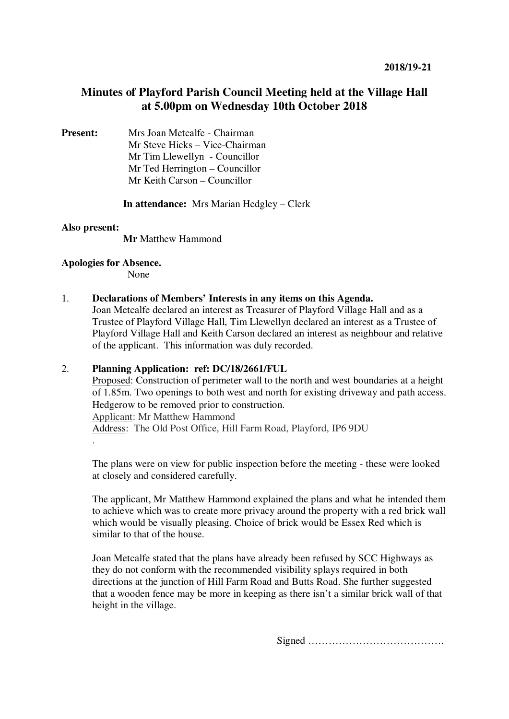# **Minutes of Playford Parish Council Meeting held at the Village Hall at 5.00pm on Wednesday 10th October 2018**

**Present:** Mrs Joan Metcalfe - Chairman Mr Steve Hicks – Vice-Chairman Mr Tim Llewellyn- Councillor Mr Ted Herrington – Councillor Mr Keith Carson – Councillor

**In attendance:** Mrs Marian Hedgley – Clerk

# **Also present:**

.

 **Mr** Matthew Hammond

# **Apologies for Absence.**

None

### 1. **Declarations of Members' Interests in any items on this Agenda.**

Joan Metcalfe declared an interest as Treasurer of Playford Village Hall and as a Trustee of Playford Village Hall, Tim Llewellyn declared an interest as a Trustee of Playford Village Hall and Keith Carson declared an interest as neighbour and relative of the applicant. This information was duly recorded.

# 2. **Planning Application: ref: DC/18/2661/FUL**

Proposed: Construction of perimeter wall to the north and west boundaries at a height of 1.85m. Two openings to both west and north for existing driveway and path access. Hedgerow to be removed prior to construction. Applicant: Mr Matthew Hammond Address: The Old Post Office, Hill Farm Road, Playford, IP6 9DU

The plans were on view for public inspection before the meeting - these were looked at closely and considered carefully.

The applicant, Mr Matthew Hammond explained the plans and what he intended them to achieve which was to create more privacy around the property with a red brick wall which would be visually pleasing. Choice of brick would be Essex Red which is similar to that of the house.

Joan Metcalfe stated that the plans have already been refused by SCC Highways as they do not conform with the recommended visibility splays required in both directions at the junction of Hill Farm Road and Butts Road. She further suggested that a wooden fence may be more in keeping as there isn't a similar brick wall of that height in the village.

Signed ………………………………….